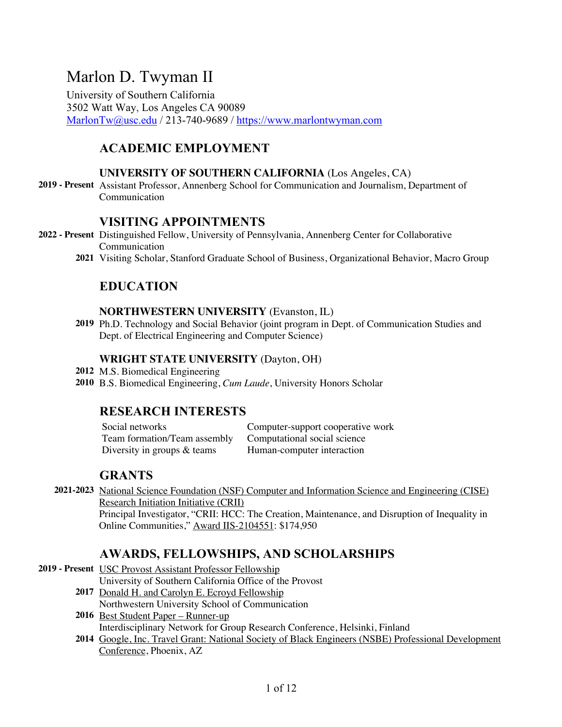# Marlon D. Twyman II

University of Southern California 3502 Watt Way, Los Angeles CA 90089 MarlonTw@usc.edu / 213-740-9689 / https://www.marlontwyman.com

# **ACADEMIC EMPLOYMENT**

### **UNIVERSITY OF SOUTHERN CALIFORNIA** (Los Angeles, CA)

**2019 - Present** Assistant Professor, Annenberg School for Communication and Journalism, Department of Communication

# **VISITING APPOINTMENTS**

- **2022 - Present** Distinguished Fellow, University of Pennsylvania, Annenberg Center for Collaborative Communication
	- **2021** Visiting Scholar, Stanford Graduate School of Business, Organizational Behavior, Macro Group

# **EDUCATION**

### **NORTHWESTERN UNIVERSITY** (Evanston, IL)

**2019** Ph.D. Technology and Social Behavior (joint program in Dept. of Communication Studies and Dept. of Electrical Engineering and Computer Science)

### **WRIGHT STATE UNIVERSITY** (Dayton, OH)

**2012** M.S. Biomedical Engineering

**2010** B.S. Biomedical Engineering, *Cum Laude*, University Honors Scholar

# **RESEARCH INTERESTS**

Social networks Computer-support cooperative work Team formation/Team assembly Computational social science Diversity in groups & teams Human-computer interaction

# **GRANTS**

**2021-2023** National Science Foundation (NSF) Computer and Information Science and Engineering (CISE) Research Initiation Initiative (CRII) Principal Investigator, "CRII: HCC: The Creation, Maintenance, and Disruption of Inequality in Online Communities," Award IIS-2104551: \$174,950

# **AWARDS, FELLOWSHIPS, AND SCHOLARSHIPS**

**2019 - Present** USC Provost Assistant Professor Fellowship

University of Southern California Office of the Provost

- **2017** Donald H. and Carolyn E. Ecroyd Fellowship Northwestern University School of Communication
- **2016** Best Student Paper Runner-up Interdisciplinary Network for Group Research Conference, Helsinki, Finland
- **2014** Google, Inc. Travel Grant: National Society of Black Engineers (NSBE) Professional Development Conference, Phoenix, AZ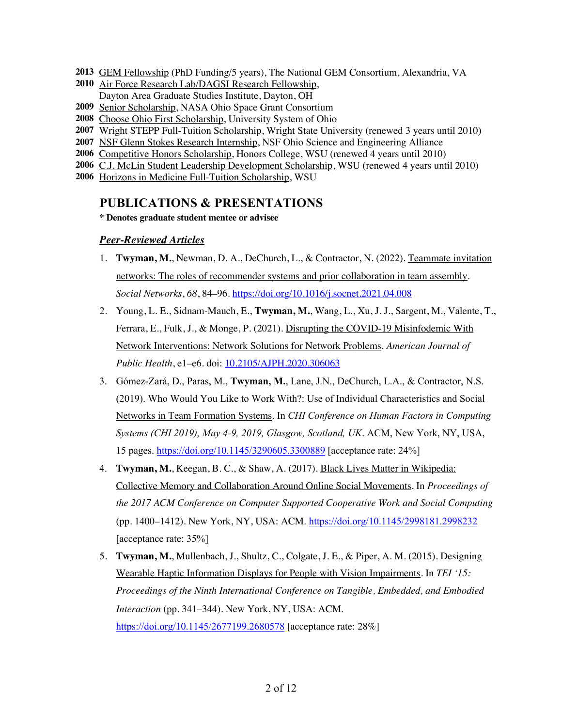- **2013** GEM Fellowship (PhD Funding/5 years), The National GEM Consortium, Alexandria, VA
- **2010** Air Force Research Lab/DAGSI Research Fellowship, Dayton Area Graduate Studies Institute, Dayton, OH
- **2009** Senior Scholarship, NASA Ohio Space Grant Consortium
- **2008** Choose Ohio First Scholarship, University System of Ohio
- **2007** Wright STEPP Full-Tuition Scholarship, Wright State University (renewed 3 years until 2010)
- **2007** NSF Glenn Stokes Research Internship, NSF Ohio Science and Engineering Alliance
- **2006** Competitive Honors Scholarship, Honors College, WSU (renewed 4 years until 2010)
- **2006** C.J. McLin Student Leadership Development Scholarship, WSU (renewed 4 years until 2010)
- **2006** Horizons in Medicine Full-Tuition Scholarship, WSU

### **PUBLICATIONS & PRESENTATIONS**

**\* Denotes graduate student mentee or advisee**

### *Peer-Reviewed Articles*

- 1. **Twyman, M.**, Newman, D. A., DeChurch, L., & Contractor, N. (2022). Teammate invitation networks: The roles of recommender systems and prior collaboration in team assembly. *Social Networks*, *68*, 84–96. https://doi.org/10.1016/j.socnet.2021.04.008
- 2. Young, L. E., Sidnam-Mauch, E., **Twyman, M.**, Wang, L., Xu, J. J., Sargent, M., Valente, T., Ferrara, E., Fulk, J., & Monge, P. (2021). Disrupting the COVID-19 Misinfodemic With Network Interventions: Network Solutions for Network Problems. *American Journal of Public Health*, e1–e6. doi: 10.2105/AJPH.2020.306063
- 3. Gómez-Zará, D., Paras, M., **Twyman, M.**, Lane, J.N., DeChurch, L.A., & Contractor, N.S. (2019). Who Would You Like to Work With?: Use of Individual Characteristics and Social Networks in Team Formation Systems. In *CHI Conference on Human Factors in Computing Systems (CHI 2019), May 4-9, 2019, Glasgow, Scotland, UK*. ACM, New York, NY, USA, 15 pages. https://doi.org/10.1145/3290605.3300889 [acceptance rate: 24%]
- 4. **Twyman, M.**, Keegan, B. C., & Shaw, A. (2017). Black Lives Matter in Wikipedia: Collective Memory and Collaboration Around Online Social Movements. In *Proceedings of the 2017 ACM Conference on Computer Supported Cooperative Work and Social Computing* (pp. 1400–1412). New York, NY, USA: ACM. https://doi.org/10.1145/2998181.2998232 [acceptance rate: 35%]
- 5. **Twyman, M.**, Mullenbach, J., Shultz, C., Colgate, J. E., & Piper, A. M. (2015). Designing Wearable Haptic Information Displays for People with Vision Impairments. In *TEI '15: Proceedings of the Ninth International Conference on Tangible, Embedded, and Embodied Interaction* (pp. 341–344). New York, NY, USA: ACM. https://doi.org/10.1145/2677199.2680578 [acceptance rate: 28%]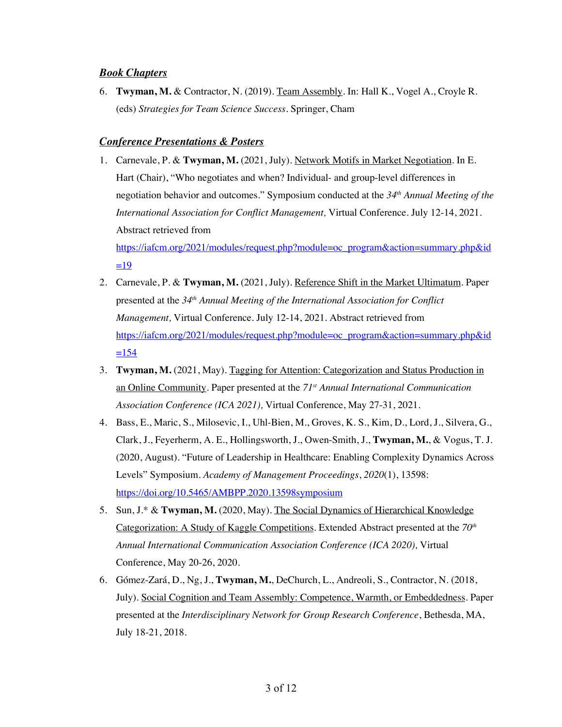#### *Book Chapters*

6. **Twyman, M.** & Contractor, N. (2019). Team Assembly. In: Hall K., Vogel A., Croyle R. (eds) *Strategies for Team Science Success*. Springer, Cham

### *Conference Presentations & Posters*

1. Carnevale, P. & **Twyman, M.** (2021, July). Network Motifs in Market Negotiation. In E. Hart (Chair), "Who negotiates and when? Individual- and group-level differences in negotiation behavior and outcomes." Symposium conducted at the *34th Annual Meeting of the International Association for Conflict Management,* Virtual Conference. July 12-14, 2021. Abstract retrieved from https://iafcm.org/2021/modules/request.php?module=oc\_program&action=summary.php&id

 $=19$ 

- 2. Carnevale, P. & **Twyman, M.** (2021, July). Reference Shift in the Market Ultimatum. Paper presented at the *34th Annual Meeting of the International Association for Conflict Management,* Virtual Conference. July 12-14, 2021. Abstract retrieved from https://iafcm.org/2021/modules/request.php?module=oc\_program&action=summary.php&id  $=154$
- 3. **Twyman, M.** (2021, May). Tagging for Attention: Categorization and Status Production in an Online Community. Paper presented at the *71st Annual International Communication Association Conference (ICA 2021),* Virtual Conference, May 27-31, 2021.
- 4. Bass, E., Maric, S., Milosevic, I., Uhl-Bien, M., Groves, K. S., Kim, D., Lord, J., Silvera, G., Clark, J., Feyerherm, A. E., Hollingsworth, J., Owen-Smith, J., **Twyman, M.**, & Vogus, T. J. (2020, August). "Future of Leadership in Healthcare: Enabling Complexity Dynamics Across Levels" Symposium. *Academy of Management Proceedings*, *2020*(1), 13598: https://doi.org/10.5465/AMBPP.2020.13598symposium
- 5. Sun, J.\* & **Twyman, M.** (2020, May). The Social Dynamics of Hierarchical Knowledge Categorization: A Study of Kaggle Competitions. Extended Abstract presented at the *70th Annual International Communication Association Conference (ICA 2020),* Virtual Conference, May 20-26, 2020.
- 6. Gómez-Zará, D., Ng, J., **Twyman, M.**, DeChurch, L., Andreoli, S., Contractor, N. (2018, July). Social Cognition and Team Assembly: Competence, Warmth, or Embeddedness. Paper presented at the *Interdisciplinary Network for Group Research Conference*, Bethesda, MA, July 18-21, 2018.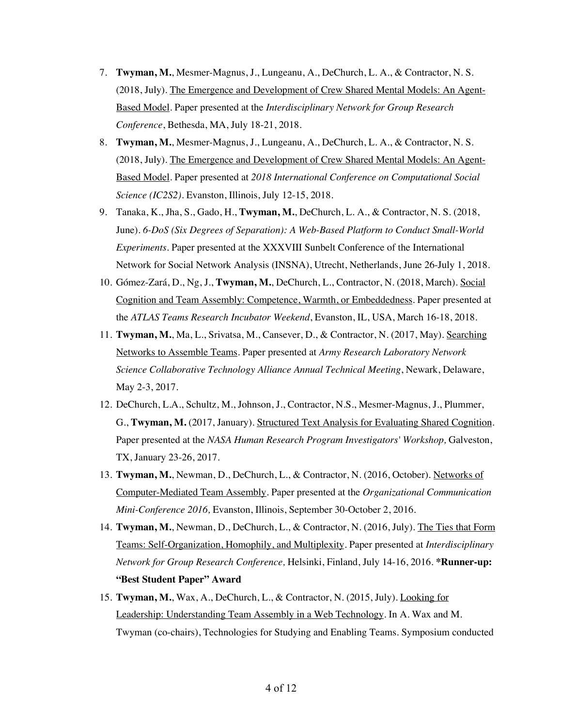- 7. **Twyman, M.**, Mesmer-Magnus, J., Lungeanu, A., DeChurch, L. A., & Contractor, N. S. (2018, July). The Emergence and Development of Crew Shared Mental Models: An Agent-Based Model. Paper presented at the *Interdisciplinary Network for Group Research Conference*, Bethesda, MA, July 18-21, 2018.
- 8. **Twyman, M.**, Mesmer-Magnus, J., Lungeanu, A., DeChurch, L. A., & Contractor, N. S. (2018, July). The Emergence and Development of Crew Shared Mental Models: An Agent-Based Model. Paper presented at *2018 International Conference on Computational Social Science (IC2S2).* Evanston, Illinois, July 12-15, 2018.
- 9. Tanaka, K., Jha, S., Gado, H., **Twyman, M.**, DeChurch, L. A., & Contractor, N. S. (2018, June). *6-DoS (Six Degrees of Separation): A Web-Based Platform to Conduct Small-World Experiments*. Paper presented at the XXXVIII Sunbelt Conference of the International Network for Social Network Analysis (INSNA), Utrecht, Netherlands, June 26-July 1, 2018.
- 10. Gómez-Zará, D., Ng, J., **Twyman, M.**, DeChurch, L., Contractor, N. (2018, March). Social Cognition and Team Assembly: Competence, Warmth, or Embeddedness. Paper presented at the *ATLAS Teams Research Incubator Weekend*, Evanston, IL, USA, March 16-18, 2018.
- 11. **Twyman, M.**, Ma, L., Srivatsa, M., Cansever, D., & Contractor, N. (2017, May). Searching Networks to Assemble Teams. Paper presented at *Army Research Laboratory Network Science Collaborative Technology Alliance Annual Technical Meeting*, Newark, Delaware, May 2-3, 2017.
- 12. DeChurch, L.A., Schultz, M., Johnson, J., Contractor, N.S., Mesmer-Magnus, J., Plummer, G., **Twyman, M.** (2017, January). Structured Text Analysis for Evaluating Shared Cognition. Paper presented at the *NASA Human Research Program Investigators' Workshop*, Galveston, TX, January 23-26, 2017.
- 13. **Twyman, M.**, Newman, D., DeChurch, L., & Contractor, N. (2016, October). Networks of Computer-Mediated Team Assembly. Paper presented at the *Organizational Communication Mini-Conference 2016,* Evanston, Illinois, September 30-October 2, 2016.
- 14. **Twyman, M.**, Newman, D., DeChurch, L., & Contractor, N. (2016, July). The Ties that Form Teams: Self-Organization, Homophily, and Multiplexity. Paper presented at *Interdisciplinary Network for Group Research Conference,* Helsinki, Finland, July 14-16, 2016. **\*Runner-up: "Best Student Paper" Award**
- 15. **Twyman, M.**, Wax, A., DeChurch, L., & Contractor, N. (2015, July). Looking for Leadership: Understanding Team Assembly in a Web Technology. In A. Wax and M. Twyman (co-chairs), Technologies for Studying and Enabling Teams. Symposium conducted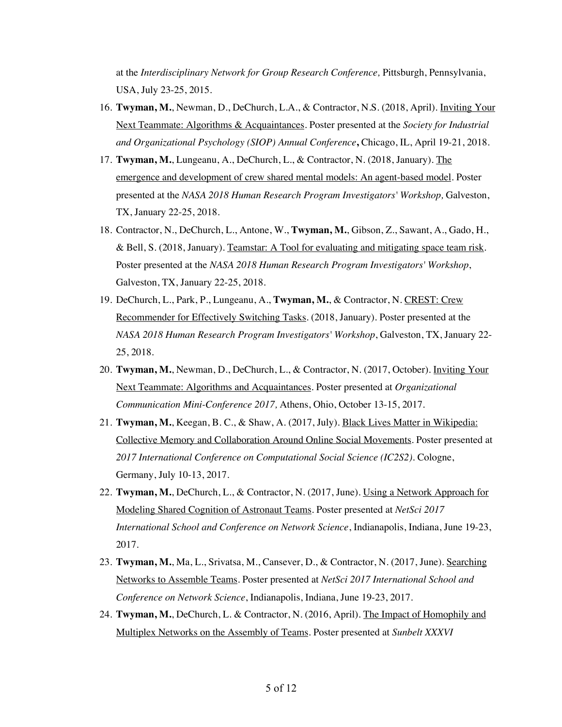at the *Interdisciplinary Network for Group Research Conference,* Pittsburgh, Pennsylvania, USA, July 23-25, 2015.

- 16. **Twyman, M.**, Newman, D., DeChurch, L.A., & Contractor, N.S. (2018, April). Inviting Your Next Teammate: Algorithms & Acquaintances. Poster presented at the *Society for Industrial and Organizational Psychology (SIOP) Annual Conference***,** Chicago, IL, April 19-21, 2018.
- 17. **Twyman, M.**, Lungeanu, A., DeChurch, L., & Contractor, N. (2018, January). The emergence and development of crew shared mental models: An agent-based model. Poster presented at the *NASA 2018 Human Research Program Investigators' Workshop,* Galveston, TX, January 22-25, 2018.
- 18. Contractor, N., DeChurch, L., Antone, W., **Twyman, M.**, Gibson, Z., Sawant, A., Gado, H., & Bell, S. (2018, January). Teamstar: A Tool for evaluating and mitigating space team risk. Poster presented at the *NASA 2018 Human Research Program Investigators' Workshop*, Galveston, TX, January 22-25, 2018.
- 19. DeChurch, L., Park, P., Lungeanu, A., **Twyman, M.**, & Contractor, N. CREST: Crew Recommender for Effectively Switching Tasks. (2018, January). Poster presented at the *NASA 2018 Human Research Program Investigators' Workshop*, Galveston, TX, January 22- 25, 2018.
- 20. **Twyman, M.**, Newman, D., DeChurch, L., & Contractor, N. (2017, October). Inviting Your Next Teammate: Algorithms and Acquaintances. Poster presented at *Organizational Communication Mini-Conference 2017,* Athens, Ohio, October 13-15, 2017.
- 21. **Twyman, M.**, Keegan, B. C., & Shaw, A. (2017, July). Black Lives Matter in Wikipedia: Collective Memory and Collaboration Around Online Social Movements. Poster presented at *2017 International Conference on Computational Social Science (IC2S2).* Cologne, Germany, July 10-13, 2017.
- 22. **Twyman, M.**, DeChurch, L., & Contractor, N. (2017, June). Using a Network Approach for Modeling Shared Cognition of Astronaut Teams. Poster presented at *NetSci 2017 International School and Conference on Network Science*, Indianapolis, Indiana, June 19-23, 2017.
- 23. **Twyman, M.**, Ma, L., Srivatsa, M., Cansever, D., & Contractor, N. (2017, June). Searching Networks to Assemble Teams. Poster presented at *NetSci 2017 International School and Conference on Network Science*, Indianapolis, Indiana, June 19-23, 2017.
- 24. **Twyman, M.**, DeChurch, L. & Contractor, N. (2016, April). The Impact of Homophily and Multiplex Networks on the Assembly of Teams. Poster presented at *Sunbelt XXXVI*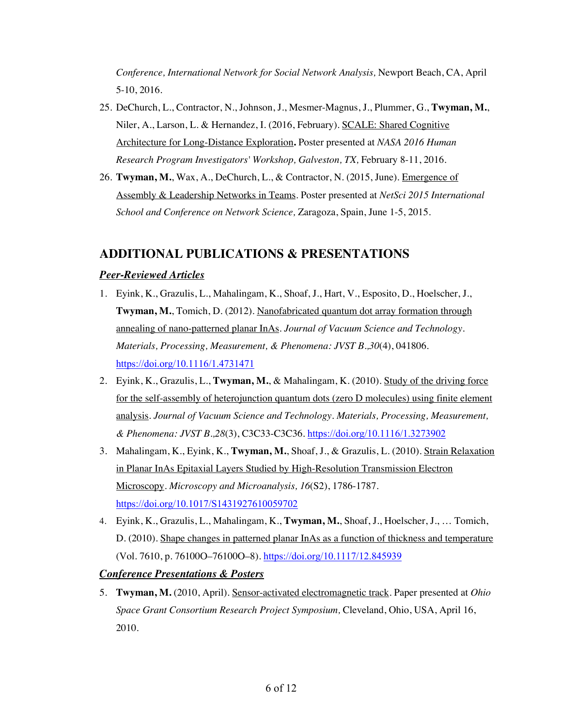*Conference, International Network for Social Network Analysis,* Newport Beach, CA, April 5-10, 2016.

- 25. DeChurch, L., Contractor, N., Johnson, J., Mesmer-Magnus, J., Plummer, G., **Twyman, M.**, Niler, A., Larson, L. & Hernandez, I. (2016, February). SCALE: Shared Cognitive Architecture for Long-Distance Exploration**.** Poster presented at *NASA 2016 Human Research Program Investigators' Workshop, Galveston, TX,* February 8-11, 2016.
- 26. **Twyman, M.**, Wax, A., DeChurch, L., & Contractor, N. (2015, June). Emergence of Assembly & Leadership Networks in Teams. Poster presented at *NetSci 2015 International School and Conference on Network Science,* Zaragoza, Spain, June 1-5, 2015.

# **ADDITIONAL PUBLICATIONS & PRESENTATIONS**

### *Peer-Reviewed Articles*

- 1. Eyink, K., Grazulis, L., Mahalingam, K., Shoaf, J., Hart, V., Esposito, D., Hoelscher, J., **Twyman, M.**, Tomich, D. (2012). Nanofabricated quantum dot array formation through annealing of nano-patterned planar InAs. *Journal of Vacuum Science and Technology. Materials, Processing, Measurement, & Phenomena: JVST B.,30*(4), 041806. https://doi.org/10.1116/1.4731471
- 2. Eyink, K., Grazulis, L., **Twyman, M.**, & Mahalingam, K. (2010). Study of the driving force for the self-assembly of heterojunction quantum dots (zero D molecules) using finite element analysis. *Journal of Vacuum Science and Technology. Materials, Processing, Measurement, & Phenomena: JVST B.,28*(3), C3C33-C3C36. https://doi.org/10.1116/1.3273902
- 3. Mahalingam, K., Eyink, K., **Twyman, M.**, Shoaf, J., & Grazulis, L. (2010). Strain Relaxation in Planar InAs Epitaxial Layers Studied by High-Resolution Transmission Electron Microscopy. *Microscopy and Microanalysis, 16*(S2), 1786-1787. https://doi.org/10.1017/S1431927610059702
- 4. Eyink, K., Grazulis, L., Mahalingam, K., **Twyman, M.**, Shoaf, J., Hoelscher, J., … Tomich, D. (2010). Shape changes in patterned planar InAs as a function of thickness and temperature (Vol. 7610, p. 76100O–76100O–8). https://doi.org/10.1117/12.845939

### *Conference Presentations & Posters*

5. **Twyman, M.** (2010, April). Sensor-activated electromagnetic track. Paper presented at *Ohio Space Grant Consortium Research Project Symposium,* Cleveland, Ohio, USA, April 16, 2010.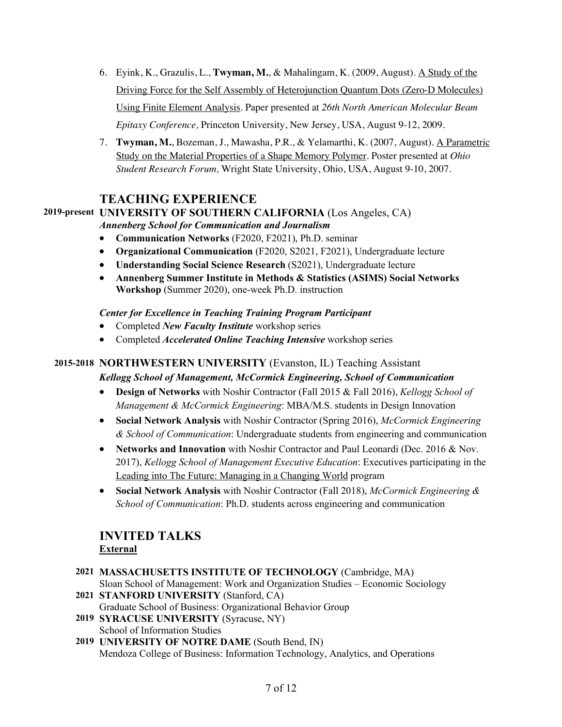- 6. Eyink, K., Grazulis, L., **Twyman, M.**, & Mahalingam, K. (2009, August). A Study of the Driving Force for the Self Assembly of Heterojunction Quantum Dots (Zero-D Molecules) Using Finite Element Analysis. Paper presented at *26th North American Molecular Beam Epitaxy Conference,* Princeton University, New Jersey, USA, August 9-12, 2009.
- 7. **Twyman, M.**, Bozeman, J., Mawasha, P.R., & Yelamarthi, K. (2007, August). A Parametric Study on the Material Properties of a Shape Memory Polymer. Poster presented at *Ohio Student Research Forum,* Wright State University, Ohio, USA, August 9-10, 2007.

# **TEACHING EXPERIENCE**

# **2019-present UNIVERSITY OF SOUTHERN CALIFORNIA** (Los Angeles, CA)

*Annenberg School for Communication and Journalism*

- **Communication Networks** (F2020, F2021), Ph.D. seminar
- **Organizational Communication** (F2020, S2021, F2021), Undergraduate lecture
- **Understanding Social Science Research** (S2021), Undergraduate lecture
- **Annenberg Summer Institute in Methods & Statistics (ASIMS) Social Networks Workshop** (Summer 2020), one-week Ph.D. instruction

*Center for Excellence in Teaching Training Program Participant*

- Completed *New Faculty Institute* workshop series
- Completed *Accelerated Online Teaching Intensive* workshop series

# **2015-2018 NORTHWESTERN UNIVERSITY** (Evanston, IL) Teaching Assistant

### *Kellogg School of Management, McCormick Engineering, School of Communication*

- **Design of Networks** with Noshir Contractor (Fall 2015 & Fall 2016), *Kellogg School of Management & McCormick Engineering*: MBA/M.S. students in Design Innovation
- **Social Network Analysis** with Noshir Contractor (Spring 2016), *McCormick Engineering & School of Communication*: Undergraduate students from engineering and communication
- **Networks and Innovation** with Noshir Contractor and Paul Leonardi (Dec. 2016 & Nov. 2017), *Kellogg School of Management Executive Education*: Executives participating in the Leading into The Future: Managing in a Changing World program
- **Social Network Analysis** with Noshir Contractor (Fall 2018), *McCormick Engineering & School of Communication*: Ph.D. students across engineering and communication

# **INVITED TALKS External**

- **2021 MASSACHUSETTS INSTITUTE OF TECHNOLOGY** (Cambridge, MA) Sloan School of Management: Work and Organization Studies – Economic Sociology **2021 STANFORD UNIVERSITY** (Stanford, CA)
- Graduate School of Business: Organizational Behavior Group **2019 SYRACUSE UNIVERSITY** (Syracuse, NY) School of Information Studies
- **2019 UNIVERSITY OF NOTRE DAME** (South Bend, IN) Mendoza College of Business: Information Technology, Analytics, and Operations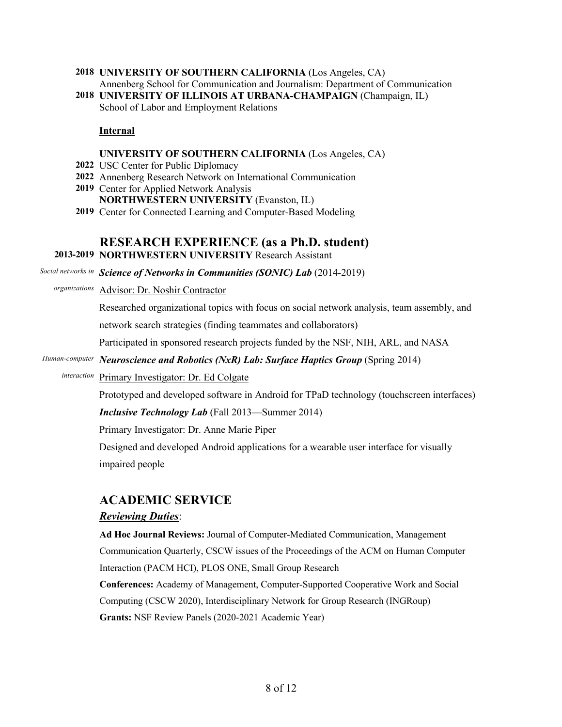- **2018 UNIVERSITY OF SOUTHERN CALIFORNIA** (Los Angeles, CA) Annenberg School for Communication and Journalism: Department of Communication
- **2018 UNIVERSITY OF ILLINOIS AT URBANA-CHAMPAIGN** (Champaign, IL) School of Labor and Employment Relations

#### **Internal**

#### **UNIVERSITY OF SOUTHERN CALIFORNIA** (Los Angeles, CA)

- **2022** USC Center for Public Diplomacy
- **2022** Annenberg Research Network on International Communication
- **2019** Center for Applied Network Analysis **NORTHWESTERN UNIVERSITY** (Evanston, IL)
- **2019** Center for Connected Learning and Computer-Based Modeling

# **RESEARCH EXPERIENCE (as a Ph.D. student)**

#### **2013-2019 NORTHWESTERN UNIVERSITY** Research Assistant

Social networks in Science of Networks in Communities (SONIC) Lab (2014-2019)

*organizations* Advisor: Dr. Noshir Contractor

Researched organizational topics with focus on social network analysis, team assembly, and

network search strategies (finding teammates and collaborators)

Participated in sponsored research projects funded by the NSF, NIH, ARL, and NASA

#### *Human-computer Neuroscience and Robotics (NxR) Lab: Surface Haptics Group* (Spring 2014)

*interaction* Primary Investigator: Dr. Ed Colgate

Prototyped and developed software in Android for TPaD technology (touchscreen interfaces)

*Inclusive Technology Lab* (Fall 2013—Summer 2014)

Primary Investigator: Dr. Anne Marie Piper

Designed and developed Android applications for a wearable user interface for visually impaired people

# **ACADEMIC SERVICE**

#### *Reviewing Duties*:

**Ad Hoc Journal Reviews:** Journal of Computer-Mediated Communication, Management Communication Quarterly, CSCW issues of the Proceedings of the ACM on Human Computer Interaction (PACM HCI), PLOS ONE, Small Group Research

**Conferences:** Academy of Management, Computer-Supported Cooperative Work and Social Computing (CSCW 2020), Interdisciplinary Network for Group Research (INGRoup) **Grants:** NSF Review Panels (2020-2021 Academic Year)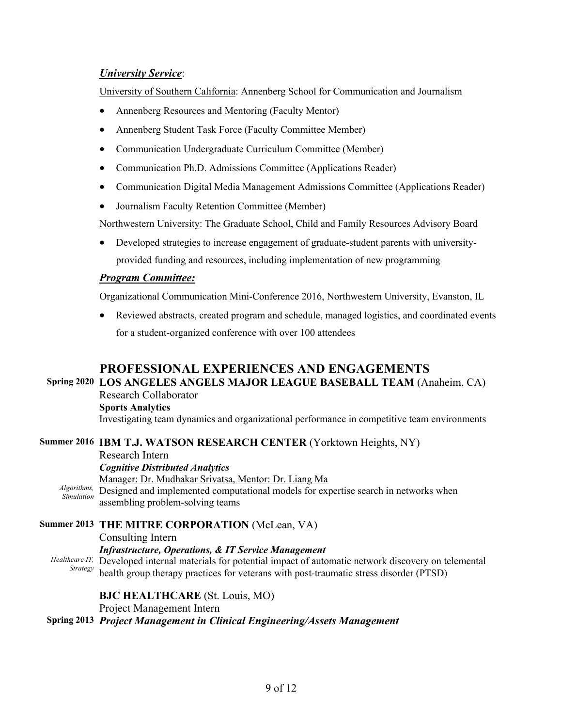### *University Service*:

University of Southern California: Annenberg School for Communication and Journalism

- Annenberg Resources and Mentoring (Faculty Mentor)
- Annenberg Student Task Force (Faculty Committee Member)
- Communication Undergraduate Curriculum Committee (Member)
- Communication Ph.D. Admissions Committee (Applications Reader)
- Communication Digital Media Management Admissions Committee (Applications Reader)
- Journalism Faculty Retention Committee (Member)

Northwestern University: The Graduate School, Child and Family Resources Advisory Board

• Developed strategies to increase engagement of graduate-student parents with universityprovided funding and resources, including implementation of new programming

### *Program Committee:*

Organizational Communication Mini-Conference 2016, Northwestern University, Evanston, IL

• Reviewed abstracts, created program and schedule, managed logistics, and coordinated events for a student-organized conference with over 100 attendees

# **PROFESSIONAL EXPERIENCES AND ENGAGEMENTS**

#### **Spring 2020 LOS ANGELES ANGELS MAJOR LEAGUE BASEBALL TEAM** (Anaheim, CA) Research Collaborator

**Sports Analytics**

Investigating team dynamics and organizational performance in competitive team environments

### **Summer 2016 IBM T.J. WATSON RESEARCH CENTER** (Yorktown Heights, NY)

Research Intern *Cognitive Distributed Analytics* Algorithms, Designed and implemented computational models for expertise search in networks when *Simulation* Manager: Dr. Mudhakar Srivatsa, Mentor: Dr. Liang Ma assembling problem-solving teams

**Summer 2013 THE MITRE CORPORATION** (McLean, VA) Consulting Intern

*Infrastructure, Operations, & IT Service Management*

*Healthcare IT,* Developed internal materials for potential impact of automatic network discovery on telemental *Strategy* building agency than the compact of automatic network discovery on telemental health group therapy practices for veterans with post-traumatic stress disorder (PTSD)

### **BJC HEALTHCARE** (St. Louis, MO)

Project Management Intern

### **Spring 2013** *Project Management in Clinical Engineering/Assets Management*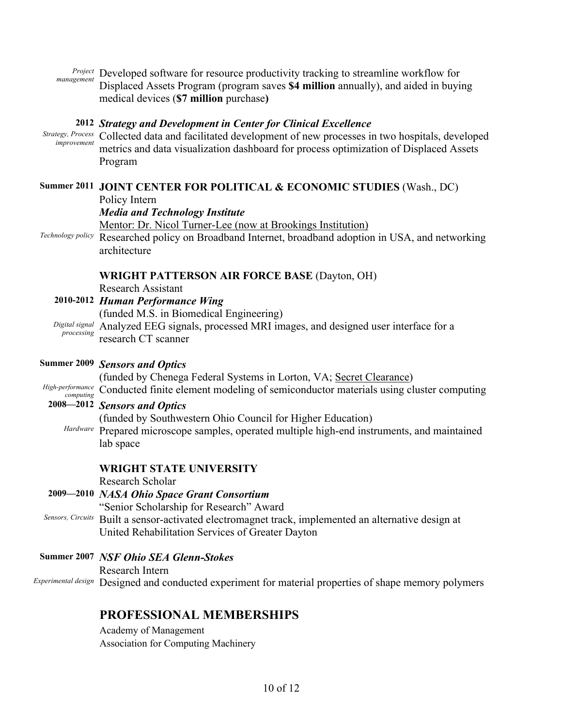*Project* Developed software for resource productivity tracking to streamline workflow for<br>management  $\sum_{n=1}^{\infty}$ Displaced Assets Program (program saves **\$4 million** annually), and aided in buying medical devices (**\$7 million** purchase**)**

### **2012** *Strategy and Development in Center for Clinical Excellence*

*Strategy, Process improvement* Collected data and facilitated development of new processes in two hospitals, developed metrics and data visualization dashboard for process optimization of Displaced Assets Program

# **Summer 2011 JOINT CENTER FOR POLITICAL & ECONOMIC STUDIES** (Wash., DC)

Policy Intern

### *Media and Technology Institute*

Mentor: Dr. Nicol Turner-Lee (now at Brookings Institution) *Technology policy* Researched policy on Broadband Internet, broadband adoption in USA, and networking architecture

### **WRIGHT PATTERSON AIR FORCE BASE** (Dayton, OH)

Research Assistant

|            | 2010-2012 Human Performance Wing                                                             |
|------------|----------------------------------------------------------------------------------------------|
|            | (funded M.S. in Biomedical Engineering)                                                      |
| processing | Digital signal Analyzed EEG signals, processed MRI images, and designed user interface for a |
|            | research CT scanner                                                                          |

### **Summer 2009** *Sensors and Optics*

(funded by Chenega Federal Systems in Lorton, VA; Secret Clearance)

*High-performance computing* Conducted finite element modeling of semiconductor materials using cluster computing

### **2008—2012** *Sensors and Optics*

(funded by Southwestern Ohio Council for Higher Education)

*Hardware* Prepared microscope samples, operated multiple high-end instruments, and maintained lab space

### **WRIGHT STATE UNIVERSITY**

Research Scholar

### **2009—2010** *NASA Ohio Space Grant Consortium*

"Senior Scholarship for Research" Award

- *Sensors, Circuits* Built a sensor-activated electromagnet track, implemented an alternative design at United Rehabilitation Services of Greater Dayton
- **Summer 2007** *NSF Ohio SEA Glenn-Stokes* Research Intern *Experimental design* Designed and conducted experiment for material properties of shape memory polymers

# **PROFESSIONAL MEMBERSHIPS**

Academy of Management Association for Computing Machinery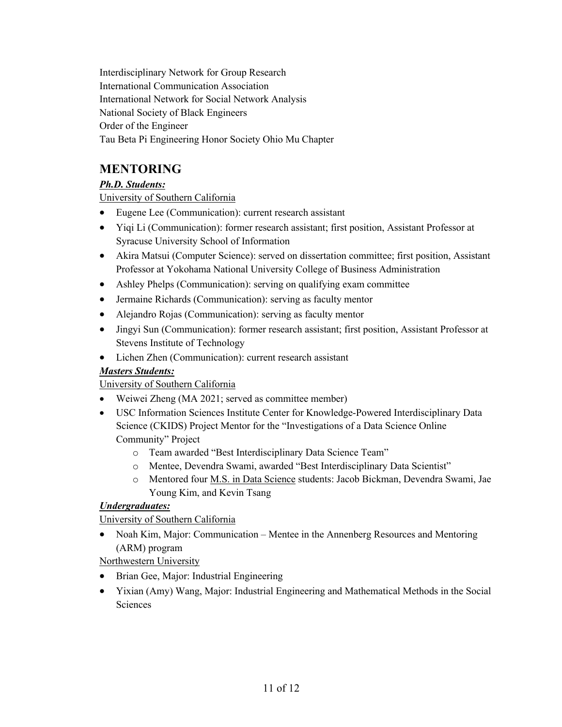Interdisciplinary Network for Group Research International Communication Association International Network for Social Network Analysis National Society of Black Engineers Order of the Engineer Tau Beta Pi Engineering Honor Society Ohio Mu Chapter

# **MENTORING**

# *Ph.D. Students:*

University of Southern California

- Eugene Lee (Communication): current research assistant
- Yiqi Li (Communication): former research assistant; first position, Assistant Professor at Syracuse University School of Information
- Akira Matsui (Computer Science): served on dissertation committee; first position, Assistant Professor at Yokohama National University College of Business Administration
- Ashley Phelps (Communication): serving on qualifying exam committee
- Jermaine Richards (Communication): serving as faculty mentor
- Alejandro Rojas (Communication): serving as faculty mentor
- Jingyi Sun (Communication): former research assistant; first position, Assistant Professor at Stevens Institute of Technology
- Lichen Zhen (Communication): current research assistant

# *Masters Students:*

University of Southern California

- Weiwei Zheng (MA 2021; served as committee member)
- USC Information Sciences Institute Center for Knowledge-Powered Interdisciplinary Data Science (CKIDS) Project Mentor for the "Investigations of a Data Science Online Community" Project
	- o Team awarded "Best Interdisciplinary Data Science Team"
	- o Mentee, Devendra Swami, awarded "Best Interdisciplinary Data Scientist"
	- o Mentored four M.S. in Data Science students: Jacob Bickman, Devendra Swami, Jae Young Kim, and Kevin Tsang

# *Undergraduates:*

University of Southern California

• Noah Kim, Major: Communication – Mentee in the Annenberg Resources and Mentoring (ARM) program

Northwestern University

- Brian Gee, Major: Industrial Engineering
- Yixian (Amy) Wang, Major: Industrial Engineering and Mathematical Methods in the Social **Sciences**